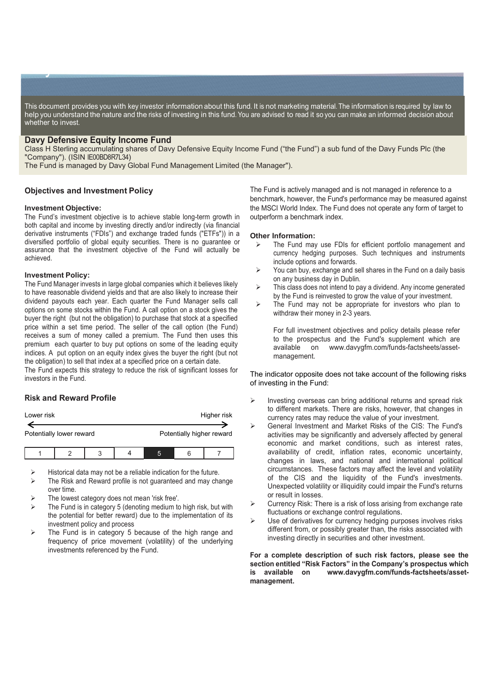This document provides you with key investor information about this fund. It is not marketing material. The information is required by law to help you understand the nature and the risks of investing in this fund. You are advised to read it so you can make an informed decision about whether to invest.

## **Davy Defensive Equity Income Fund**

key Indonesia Indonesia Indonesia Indonesia Indonesia Indonesia Indonesia Indonesia Indonesia Indonesia Indone<br>Indonesia Indonesia Indonesia Indonesia Indonesia Indonesia Indonesia Indonesia Indonesia Indonesia Indonesia

Class H Sterling accumulating shares of Davy Defensive Equity Income Fund ("the Fund") a sub fund of the Davy Funds Plc (the "Company"). (ISIN IE00BD8R7L34)

The Fund is managed by Davy Global Fund Management Limited (the Manager").

## **Objectives and Investment Policy**

#### **Investment Objective:**

The Fund's investment objective is to achieve stable long-term growth in both capital and income by investing directly and/or indirectly (via financial derivative instruments ("FDIs") and exchange traded funds ("ETFs")) in a diversified portfolio of global equity securities. There is no guarantee or assurance that the investment objective of the Fund will actually be achieved.

### **Investment Policy:**

The Fund Manager invests in large global companies which it believes likely to have reasonable dividend yields and that are also likely to increase their dividend payouts each year. Each quarter the Fund Manager sells call options on some stocks within the Fund. A call option on a stock gives the buyer the right (but not the obligation) to purchase that stock at a specified price within a set time period. The seller of the call option (the Fund) receives a sum of money called a premium. The Fund then uses this premium each quarter to buy put options on some of the leading equity indices. A put option on an equity index gives the buyer the right (but not the obligation) to sell that index at a specified price on a certain date.

The Fund expects this strategy to reduce the risk of significant losses for investors in the Fund.

## **Risk and Reward Profile**

| Lower risk               |  |  |  |                           |  | Higher risk |
|--------------------------|--|--|--|---------------------------|--|-------------|
| Potentially lower reward |  |  |  | Potentially higher reward |  |             |
|                          |  |  |  |                           |  |             |

Historical data may not be a reliable indication for the future.

- The Risk and Reward profile is not guaranteed and may change over time.
- The lowest category does not mean 'risk free'.
- The Fund is in category 5 (denoting medium to high risk, but with the potential for better reward) due to the implementation of its investment policy and process
- The Fund is in category 5 because of the high range and frequency of price movement (volatility) of the underlying investments referenced by the Fund.

The Fund is actively managed and is not managed in reference to a benchmark, however, the Fund's performance may be measured against the MSCI World Index. The Fund does not operate any form of target to outperform a benchmark index.

#### **Other Information:**

- > The Fund may use FDIs for efficient portfolio management and currency hedging purposes. Such techniques and instruments include options and forwards.
- $\triangleright$  You can buy, exchange and sell shares in the Fund on a daily basis on any business day in Dublin.
- $\triangleright$  This class does not intend to pay a dividend. Any income generated by the Fund is reinvested to grow the value of your investment.
- $\triangleright$  The Fund may not be appropriate for investors who plan to withdraw their money in 2-3 years.

For full investment objectives and policy details please refer to the prospectus and the Fund's supplement which are available on www.davygfm.com/funds-factsheets/assetmanagement.

The indicator opposite does not take account of the following risks of investing in the Fund:

- Investing overseas can bring additional returns and spread risk to different markets. There are risks, however, that changes in currency rates may reduce the value of your investment.
- General Investment and Market Risks of the CIS: The Fund's activities may be significantly and adversely affected by general economic and market conditions, such as interest rates, availability of credit, inflation rates, economic uncertainty, changes in laws, and national and international political circumstances. These factors may affect the level and volatility of the CIS and the liquidity of the Fund's investments. Unexpected volatility or illiquidity could impair the Fund's returns or result in losses.
- Currency Risk: There is a risk of loss arising from exchange rate fluctuations or exchange control regulations.
- Use of derivatives for currency hedging purposes involves risks different from, or possibly greater than, the risks associated with investing directly in securities and other investment.

### **For a complete description of such risk factors, please see the section entitled "Risk Factors" in the Company's prospectus which is available on www.davygfm.com/funds-factsheets/assetmanagement.**